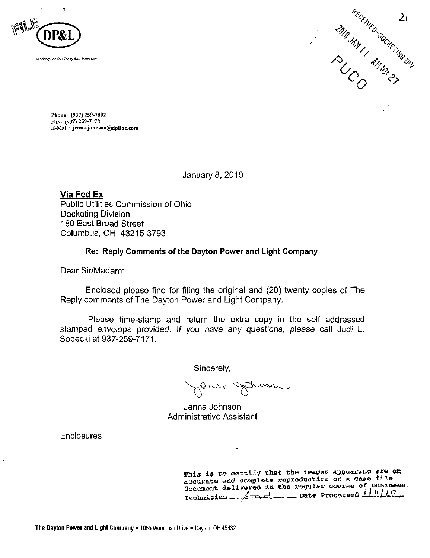



Phone: (937) 259-7802 Fax: (937) 259-7178 E-Mail: [jenna.johnson@dplinc.com](mailto:jenna.johnson@dplinc.com)

January 8, 2010

Via Fed Ex Public Utilities Commission of Ohio Docketing Division 180 East Broad Street Columbus, OH 43215-3793

# Re: Reply Comments of the Dayton Power and Light Company

Dear Sir/Madam:

Enclosed please find for filing the original and (20) twenty copies of The Reply comments of The Dayton Power and Light Company.

Please time-stamp and return the extra copy in the self addressed stamped envelope provided. If you have any questions, please call Judi L. Sobecki at 937-259-7171.

Sincerely,

erne Strum

Jenna Johnson Administrative Assistant

**Enclosures** 

This is to certify that the images appearing are an accurate and complete repreduction of a case file locument delivared in the regular course of Business  $r$ echnician  $A \rightarrow A$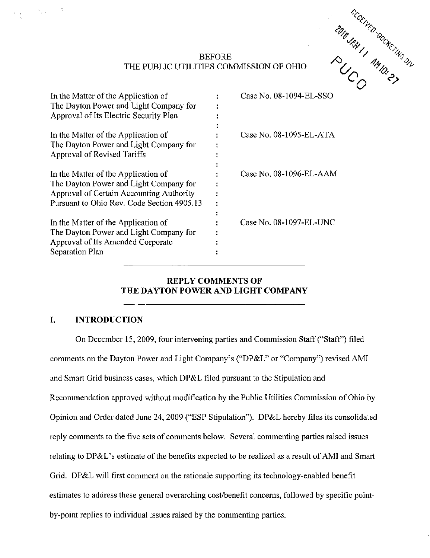

# BEFORE THE PUBLIC UTILITIES COMMISSION OF OHIO

| In the Matter of the Application of<br>The Dayton Power and Light Company for<br>Approval of Its Electric Security Plan                                                 | Case No. 08-1094-EL-SSO |
|-------------------------------------------------------------------------------------------------------------------------------------------------------------------------|-------------------------|
| In the Matter of the Application of<br>The Dayton Power and Light Company for<br>Approval of Revised Tariffs                                                            | Case No. 08-1095-EL-ATA |
| In the Matter of the Application of<br>The Dayton Power and Light Company for<br>Approval of Certain Accounting Authority<br>Pursuant to Ohio Rev. Code Section 4905.13 | Case No. 08-1096-EL-AAM |
| In the Matter of the Application of<br>The Dayton Power and Light Company for<br>Approval of Its Amended Corporate<br>Separation Plan                                   | Case No. 08-1097-EL-UNC |

# REPLY COMMENTS OF THE DAYTON POWER AND LIGHT COMPANY

# I. INTRODUCTION

 $\delta_{\frac{1}{2},0}=-1$ 

On December 15, 2009, four intervening parties and Commission Staff ("Staff") filed comments on the Dayton Power and Light Company's ("DP&L" or "Company") revised AMI and Smart Grid business cases, which DP&L filed pursuant to the Stipulation and Recommendation approved without modification by the Public Utilities Commission of Ohio by Opinion and Order dated June 24, 2009 ("ESP Stipulation"). DP&L hereby files its consolidated reply comments to the five sets of comments below. Several commenting parties raised issues relating to DP&L's estimate of the benefits expected to be realized as a result of AMI and Smart Grid. DP&L will first comment on the rationale supporting its technology-enabled benefit estimates to address these general overarching cost/benefit concerns, followed by specific pointby-point replies to individual issues raised by the commenting parties.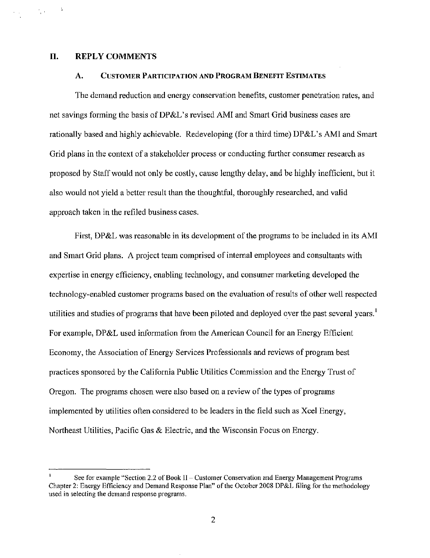### 11. REPLY COMMENTS

 $\langle \gamma_{\rm{max}} \rangle = 3$ 

### A. CUSTOMER PARTICIPATION AND PROGRAM BENEFIT ESTIMATES

The demand reduction and energy conservation benefits, customer penetration rates, and net savings forming the basis of DP&L's revised AMI and Smart Grid business cases are rationally based and highly achievable. Redeveloping (for a third time) DP&L's AMI and Smart Grid plans in the context of a stakeholder process or conducting further consumer research as proposed by Staff would not only be costly, cause lengthy delay, and be highly inefficient, but it also would not yield a better result than the thoughtful, thoroughly researched, and valid approach taken in the refiled business cases.

First, DP&L was reasonable in its development of the programs to be included in its AMI and Smart Grid plans. A project team comprised of internal employees and consultants with expertise in energy efficiency, enabling technology, and consumer marketing developed the technology-enabled customer programs based on the evaluation of results of other well respected utilities and studies of programs that have been piloted and deployed over the past several years.<sup>1</sup> For example, DP&L used information from the American Council for an Energy Efficient Economy, the Association of Energy Services Professionals and reviews of program best practices sponsored by the California Public Utilities Commission and the Energy Trust of Oregon. The programs chosen were also based on a review of the types of programs implemented by utilities often considered to be leaders in the field such as Xcel Energy, Northeast Utilities, Pacific Gas & Electric, and the Wisconsin Focus on Energy.

See for example "Section 2.2 of Book II - Customer Conservation and Energy Management Programs Chapter 2: Energy Efficiency and Demand Response Plan" of the October 2008 DP&L filing for the methodology used in selecting the demand response programs.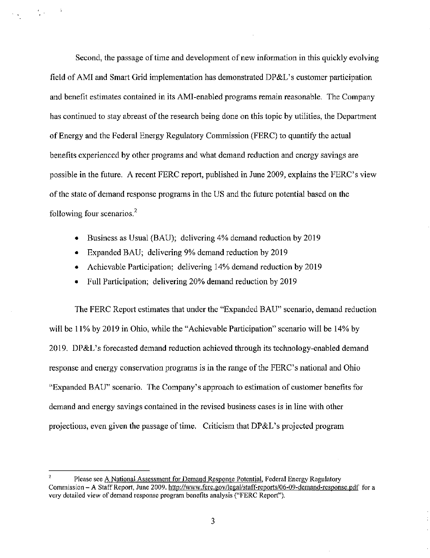Second, the passage of time and development of new information in this quickly evolving field of AMI and Smart Grid implementation has demonstrated DP&L's customer participation and benefit estimates contained in its AMI-enabled programs remain reasonable. The Company has continued to stay abreast of the research being done on this topic by utilities, the Department of Energy and the Federal Energy Regulatory Commission (FERC) to quantify the actual benefits experienced by other programs and what demand reduction and energy savings are possible in the future. A recent FERC report, published in June 2009, explains the FERC's view of the state of demand response programs in the US and the future potential based on the following four scenarios.

- Business as Usual (BAU); delivering 4% demand reduction by 2019
- Expanded BAU; delivering 9% demand reduction by 2019

 $\frac{1}{4}$  $\mathcal{L}(\mathcal{A})$ 

- Achievable Participation; delivering 14% demand reduction by 2019
- Full Participation; delivering 20% demand reduction by 2019

The FERC Report estimates that under the "Expanded BAU" scenario, demand reduction will be 11% by 2019 in Ohio, while the "Achievable Participation" scenario will be 14% by 2019. DP&L's forecasted demand reduction achieved through its technology-enabled demand response and energy conservation programs is in the range of the FERC's national and Ohio "Expanded BAU" scenario. The Company's approach to estimation of customer benefits for demand and energy savings contained in the revised business cases is in line with other projections, even given the passage of time. Criticism that DP&L's projected program

<sup>^</sup> Please see A National Assessment for Demand Response Potential, Federal Energy Regulatory Commission - A Staff Report, June 2009. [http://www.ferc.gov/legal/staff-reports/06-09-demand-response.pdf f](http://www.ferc.gov/legal/staff-reports/06-09-demand-response.pdf)or a very detailed view of demand response program benefits analysis ("FERC Report").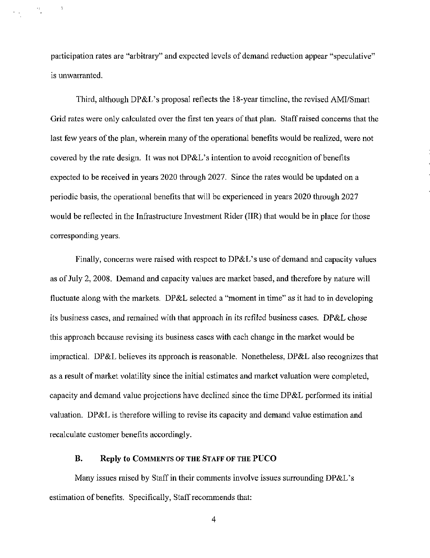participation rates are "arbitrary" and expected levels of demand reduction appear "speculative" is unwarranted.

 $\mathbf{I}$ 

 $\frac{1}{2}$ 

Third, although DP&L's proposal reflects the i8-year timeline, the revised AMI/Smart Grid rates were only calculated over the first ten years of that plan. Staff raised concerns that the last few years of the plan, wherein many of the operational benefits would be realized, were not covered by the rate design. It was not DP&L's intention to avoid recognition of benefits expected to be received in years 2020 through 2027. Since the rates would be updated on a periodic basis, the operational benefits that will be experienced in years 2020 through 2027 would be reflected in the Infrastructure Investment Rider (IIR) that would be in place for those corresponding years.

Finally, concerns were raised with respect to DP&L's use of demand and capacity values as of July 2, 2008. Demand and capacity values are market based, and therefore by nature will fluctuate along with the markets. DP&L selected a "moment in time" as it had to in developing its business cases, and remained with that approach in its refiled business cases. DP&L chose this approach because revising its business cases with each change in the market would be impractical. DP&L believes its approach is reasonable. Nonetheless, DP&L also recognizes that as a result of market volatility since the initial estimates and market valuation were completed, capacity and demand value projections have declined since the time DP&L performed its initial valuation. DP&L is therefore willing to revise its capacity and demand value estimation and recalculate customer benefits accordingly.

# B. Reply to COMMENTS OF THE STAFF OF THE PUCO

Many issues raised by Staff in their comments involve issues surrounding DP&L's estimation of benefits. Specifically, Staff recommends that:

 $\overline{4}$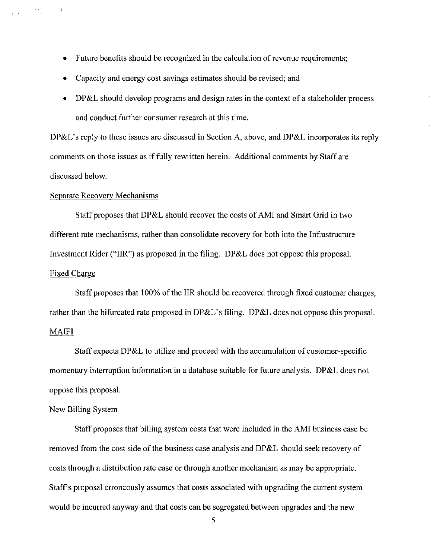- Future benefits should be recognized in the calculation of revenue requirements;
- Capacity and energy cost savings estimates should be revised; and
- DP&L should develop programs and design rates in the context of a stakeholder process and conduct further consumer research at this time.

DP&L's reply to these issues are discussed in Section A, above, and DP&L incorporates its reply comments on those issues as if fully rewritten herein. Additional comments by Staff are discussed below.

### Separate Recovery Mechanisms

Staff proposes that DP&L should recover the costs of AMI and Smart Grid in two different rate mechanisms, rather than consolidate recovery for both into the Infrastructure Investment Rider ("IIR") as proposed in the filing. DP&L does not oppose this proposal. Fixed Charge

Staff proposes that 100% of the IIR should be recovered through fixed customer charges, rather than the bifurcated rate proposed in DP&L's filing. DP&L does not oppose this proposal.

# MAIFI

 $\label{eq:2.1} \frac{1}{\sqrt{2\pi}\sqrt{2\pi}}\left(\frac{1}{\sqrt{2\pi}}\right)^{1/2}\frac{1}{\sqrt{2\pi}}\left(\frac{1}{\sqrt{2\pi}}\right)^{1/2}.$ 

 $\sim$   $^{-1}$ 

Staff expects DP&L to utilize and proceed with the accumulation of customer-specific momentary interruption information in a database suitable for future analysis. DP&L does not oppose this proposal.

## New Billing System

Staff proposes that billing system costs that were included in the AMI business case be removed from the cost side of the business case analysis and DP&L should seek recovery of costs through a distribution rate case or through another mechanism as may be appropriate. Staff's proposal erroneously assumes that costs associated with upgrading the current system would be incurred anyway and that costs can be segregated between upgrades and the new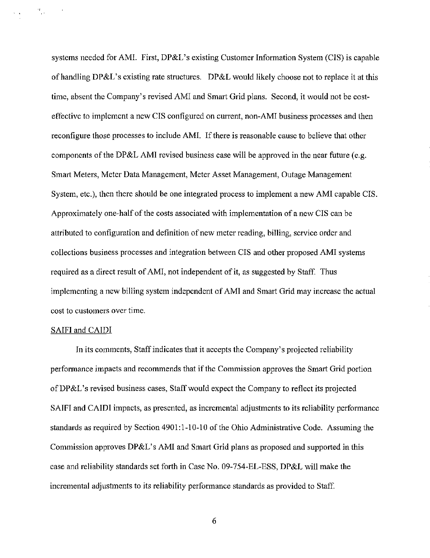systems needed for AMI. First, DP&L's existing Customer Information System (CIS) is capable of handling DP&L's existing rate structures. DP&L would likely choose not to replace it at this time, absent the Company's revised AMI and Smart Grid plans. Second, it would not be costeffective to implement a new CIS configured on current, non-AMI business processes and then reconfigure those processes to include AMI. If there is reasonable cause to believe that other components of the DP&L AMI revised business case will be approved in the near future (e.g. Smart Meters, Meter Data Management, Meter Asset Management, Outage Management System, etc.), then there should be one integrated process to implement a new AMI capable CIS. Approximately one-half of the costs associated with implementation of a new CIS can be attributed to configuration and definition of new meter reading, billing, service order and collections business processes and integration between CIS and other proposed AMI systems required as a direct result of AMI, not independent of it, as suggested by Staff. Thus implementing a new billing system independent of AMI and Smart Grid may increase the actual cost to customers over time.

### SAIFI and CAIDI

 $\mathcal{A}$ 

71. a

In its comments. Staff indicates that it accepts the Company's projected reliability performance impacts and recommends that if the Commission approves the Smart Grid portion of DP&L's revised business cases. Staff would expect the Company to reflect its projected SAIFI and CAIDI impacts, as presented, as incremental adjustments to its reliability performance standards as required by Section 4901:1-10-10 of the Ohio Administrative Code. Assuming the Commission approves DP&L's AMI and Smart Grid plans as proposed and supported in this case and reliability standards set forth in Case No. 09-754-EL-ESS, DP&L will make the incremental adjustments to its reliability performance standards as provided to Staff.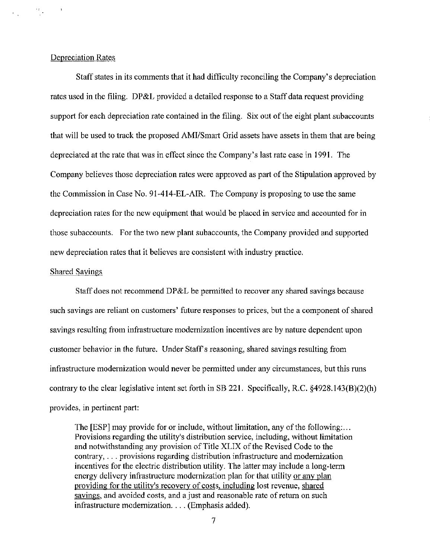### Depreciation Rates

 $\frac{2\pi}{\pi}$  .

Staff states in its comments that it had difficulty reconciling the Company's depreciation rates used in the filing. DP&L provided a detailed response to a Staff data request providing support for each depreciation rate contained in the filing. Six out of the eight plant subaccounts that will be used to track the proposed AMI/Smart Grid assets have assets in them that are being depreciated at the rate that was in effect since the Company's last rate case in 1991. The Company believes those depreciation rates were approved as part of the Stipulation approved by the Commission in Case No. 9I-414-EL-AIR. The Company is proposing to use the same depreciation rates for the new equipment that would be placed in service and accounted for in those subaccounts. For the two new plant subaccounts, the Company provided and supported new depreciation rates that it believes are consistent with industry practice.

# Shared Savings

Staff does not recommend DP&L be permitted to recover any shared savings because such savings are reliant on customers' future responses to prices, but the a component of shared savings resulting from infrastructure modernization incentives are by nature dependent upon customer behavior in the future. Under Staff's reasoning, shared savings resulting from infrastructure modernization would never be permitted under any circumstances, but this runs contrary to the clear legislative intent set forth in SB 221. Specifically, R.C. §4928.143(B)(2)(h) provides, in pertinent part:

The [ESP] may provide for or include, without limitation, any of the following:... Provisions regarding the utility's distribution service, including, without limitation and notwithstanding any provision of Title XLIX of the Revised Code to the contrary,. . . provisions regarding distribution infrastructure and modernization incentives for the electric distribution utility. The latter may include a long-term energy delivery infrastructure modernization plan for that utility or any plan providing for the utility's recovery of costs, including lost revenue, shared savings, and avoided costs, and a just and reasonable rate of return on such infrastructure modernization. .. . (Emphasis added).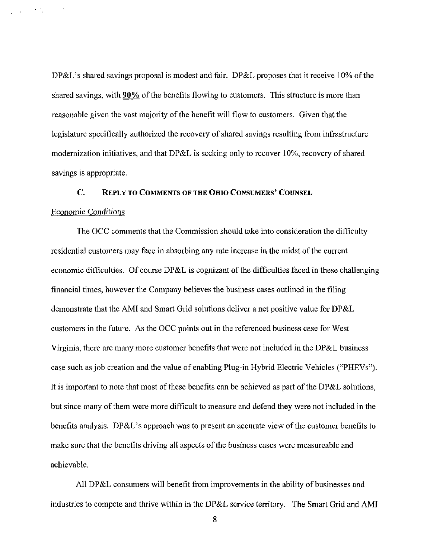DP&L's shared savings proposal is modest and fair. DP&L proposes that it receive 10% of the shared savings, with 90% of the benefits flowing to customers. This structure is more than reasonable given the vast majority of the benefit will flow to customers. Given that the legislature specifically authorized the recovery of shared savings resulting from infrastructure modernization initiatives, and that  $DP&L$  is seeking only to recover 10%, recovery of shared savings is appropriate.

# C. REPLY TO COMMENTS OF THE OHIO CONSUMERS' COUNSEL

#### Economic Conditions

 $\overline{\phantom{a}}$ 

 $\mathcal{L}^{\text{max}}$  , where  $\mathcal{L}^{\text{max}}$ 

The OCC comments that the Commission should take into consideration the difficulty residential customers may face in absorbing any rate increase in the midst of the current economic difficulties. Of course DP&L is cognizant of the difficulties faced in these challenging financial times, however the Company believes the business cases outlined in the filing demonstrate that the AMI and Smart Grid solutions deliver a net positive value for DP&L customers in the future. As the OCC points out in the referenced business case for West Virginia, there are many more customer benefits that were not included in the DP&L business case such as job creation and the value of enabling Plug-in Hybrid Electric Vehicles ("PHEVs"). It is important to note that most of these benefits can be achieved as part of the DP&L solutions, but since many of them were more difficult to measure and defend they were not included in the benefits analysis. DP&L's approach was to present an accurate view of the customer benefits to make sure that the benefits driving all aspects of the business cases were measureable and achievable.

All DP&L consumers will benefit from improvements in the ability of businesses and industries to compete and thrive within in the DP&L service territory. The Smart Grid and AMI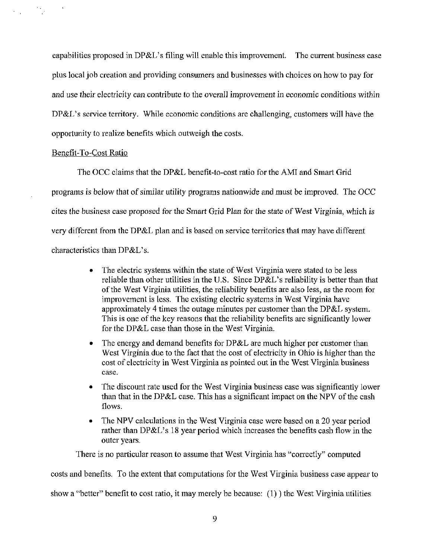capabilities proposed in DP&L's filing will enable this improvement. The current business case plus local job creation and providing consumers and businesses with choices on how to pay for and use their electricity can contribute to the overall improvement in economic conditions within DP&L's service territory. While economic conditions are challenging, customers will have the opportunity to realize benefits which outweigh the costs.

# Benefit-To-Cost Ratio

 $\bar{A}$ 

 $\mathcal{F}(\mathcal{A})$  and  $\mathcal{F}(\mathcal{A})$ 

The OCC claims that the DP&L benefit-to-cost ratio for the AMI and Smart Grid programs is below that of similar utility programs nationwide and must be improved. The OCC cites the business case proposed for the Smart Grid Plan for the state of West Virginia, which is very different from the DP&L plan and is based on service territories that may have different characteristics than DP&L's.

- The electric systems within the state of West Virginia were stated to be less reliable than other utilities in the U.S. Since DP&L's reliability is better than that of the West Virginia utilities, the reliability benefits are also less, as the room for improvement is less. The existing electric systems in West Virginia have approximately 4 times the outage minutes per customer than the DP&L system. This is one of the key reasons that the reliability benefits are significantly lower for the DP&L case than those in the West Virginia.
- The energy and demand benefits for DP&L are much higher per customer than West Virginia due to the fact that the cost of electricity in Ohio is higher than the cost of electricity in West Virginia as pointed out in the West Virginia business case.
- The discount rate used for the West Virginia business case was significantly lower than that in the DP&L case. This has a significant impact on the NPV of the cash flows.
- The NPV calculations in the West Virginia case were based on a 20 year period rather than DP&L's 18 year period which increases the benefits cash flow in the outer years.

There is no particular reason to assume that West Virginia has "correctly" computed

costs and benefits. To the extent that computations for the West Virginia business case appear to

show a "better" benefit to cost ratio, it may merely be because: (1)) the West Virginia utilities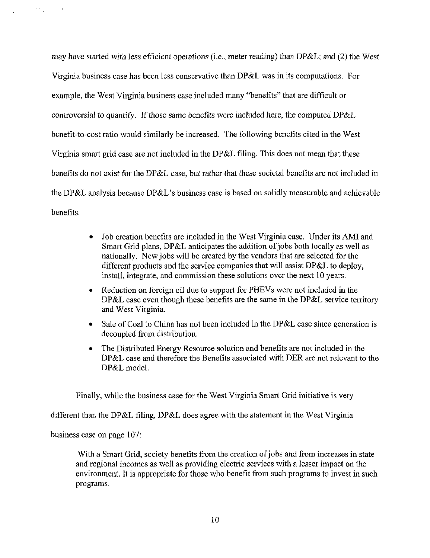may have started with less efficient operations (i.e., meter reading) than DP&L; and (2) the West Virginia business case has been less conservative than DP&L was in its computations. For example, the West Virginia business case included many "benefits" that are difficult or controversial to quantify. If those same benefits were included here, the computed DP&L benefit-to-cost ratio would similarly be increased. The following benefits cited in the West Virginia smart grid case are not included in the DP&L filing. This does not mean that these benefits do not exist for the DP&L case, but rather that these societal benefits are not included in the DP&L analysis because DP&L's business case is based on solidly measurable and achievable benefits.

- Job creation benefits are included in the West Virginia case. Under its AMI and Smart Grid plans, DP&L anticipates the addition of jobs both locally as well as nationally. New jobs will be created by the vendors that are selected for the different products and the service companies that will assist DP&L to deploy, install, integrate, and commission these solutions over the next 10 years.
- Reduction on foreign oil due to support for PHEVs were not included in the DP&L case even though these benefits are the same in the DP&L service territory and West Virginia.
- Sale of Coal to China has not been included in the DP&L case since generation is decoupled from distribution.
- The Distributed Energy Resource solution and benefits are not included in the DP&L case and therefore the Benefits associated with DER are not relevant to the DP&L model.

Finally, while the business case for the West Virginia Smart Grid initiative is very

different than the DP&L filing, DP&L does agree with the statement in the West Virginia

business case on page 107:

 $\Omega_{\rm{max}}$ 

 $\sim$  1

With a Smart Grid, society benefits from the creation of jobs and from increases in state and regional incomes as well as providing electric services with a lesser impact on the environment. It is appropriate for those who benefit from such programs to invest in such programs.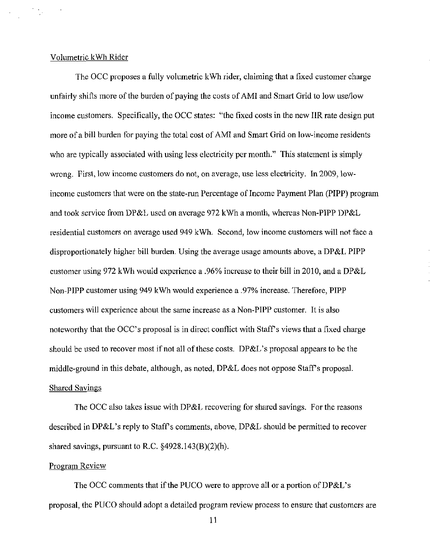### Volumetric kWh Rider

 $\frac{1}{2} \frac{1}{2} \frac{1}{2}$ 

The OCC proposes a fully volumetric kWh rider, claiming that a fixed customer charge unfairly shifts more of the burden of paying the costs of AMI and Smart Grid to low use/low income customers. Specifically, the OCC states: "the fixed costs in the new IIR rate design put more of a bill burden for paying the total cost of AMI and Smart Grid on low-income residents who are typically associated with using less electricity per month." This statement is simply wrong. First, low income customers do not, on average, use less electricity. In 2009, lowincome customers that were on the state-run Percentage of Income Payment Plan (PIPP) program and took service from DP&L used on average 972 kWh a month, whereas Non-PIPP DP&L residential customers on average used 949 kWh, Second, low income customers will not face a disproportionately higher bill burden. Using the average usage amounts above, a DP&L PIPP customer using 972 kWh would experience a .96% increase to their bill in 2010, and a DP&L Non-PIPP customer using 949 kWh would experience a .97% increase. Therefore, PIPP customers will experience about the same increase as a Non-PIPP customer. It is also noteworthy that the OCC's proposal is in direct conflict with Staff's views that a fixed charge should be used to recover most if not all of these costs. DP&L's proposal appears to be the middle-ground in this debate, although, as noted,  $DP&L$  does not oppose Staff's proposal. Shared Savings

The OCC also takes issue with DP&L recovering for shared savings. For the reasons described in DP&L's reply to Staff's comments, above, DP&L should be permitted to recover shared savings, pursuant to R.C. §4928.143(B)(2)(h).

# Program Review

The OCC comments that if the PUCO were to approve all or a portion of DP&L's proposal, the PUCO should adopt a detailed program review process to ensure that customers are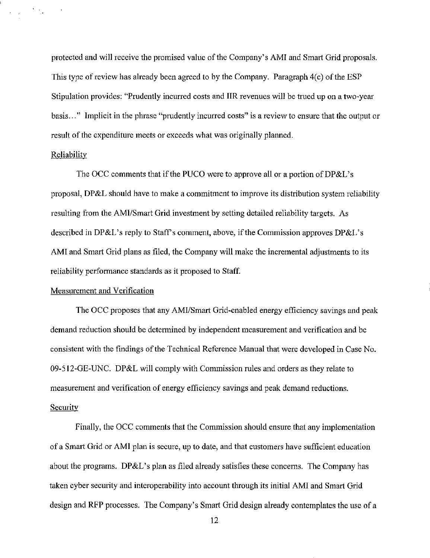protected and will receive the promised value of the Company's AMI and Smart Grid proposals. This type of review has already been agreed to by the Company. Paragraph 4(c) of the ESP Stipulation provides: "Prudently incurred costs and IIR revenues will be trued up on a two-year basis..." Implicit in the phrase "prudently incurred costs" is a review to ensure that the output or result of the expenditure meets or exceeds what was originally planned.

#### **Reliability**

 $\sum_{i=1}^n a_i$ 

The OCC comments that if the PUCO were to approve all or a portion of DP&L's proposal, DP&L should have to make a commitment to improve its distribution system reliability resulting from the AMI/Smart Grid investment by setting detailed reliability targets. As described in DP&L's reply to Staff's comment, above, if the Commission approves DP&L's AMI and Smart Grid plans as filed, the Company will make the incremental adjustments to its reliability performance standards as it proposed to Staff

### Measurement and Verification

The OCC proposes that any AMI/Smart Grid-enabled energy efficiency savings and peak demand reduction should be determined by independent measurement and verification and be consistent with the findings of the Technical Reference Manual that were developed in Case No. 09-512-GE-UNC. DP&L will comply with Commission rules and orders as they relate to measurement and verification of energy efficiency savings and peak demand reductions. **Security** 

Finally, the OCC comments that the Commission should ensure that any implementation of a Smart Grid or AMI plan is secure, up to date, and that customers have sufficient education about the programs. DP&L's plan as filed already satisfies these concerns. The Company has taken cyber security and interoperability into account through its initial AMI and Smart Grid design and RFP processes. The Company's Smart Grid design already contemplates the use of a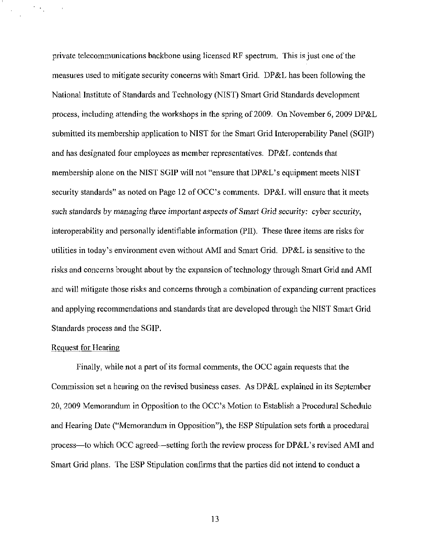private telecommunications backbone using licensed RF spectrum. This is just one of the measures used to mitigate security concerns with Smart Grid. DP&L has been following the National Institute of Standards and Technology (NIST) Smart Grid Standards development process, including attending the workshops in the spring of 2009. On November 6, 2009 DP&L submitted its membership application to NIST for the Smart Grid Interoperability Panel (SGIP) and has designated four employees as member representatives. DP&L contends that membership alone on the NIST SGIP will not "ensure that DP&L's equipment meets NIST security standards" as noted on Page 12 of OCC's comments. DP&L will ensure that it meets such standards by managing three important aspects of Smart Grid security: cyber security, interoperability and personally identifiable information (PII). These three items are risks for utilities in today's environment even without AMI and Smart Grid. DP&L is sensitive to the risks and concerns brought about by the expansion of technology through Smart Grid and AMI and will mitigate those risks and concerns through a combination of expanding current practices and applying recommendations and standards that are developed through the NIST Smart Grid Standards process and the SGIP.

# Request for Hearing

 $\gamma_{\rm eff}$ 

 $\mathbf{t}$ 

Finally, while not a part of its formal comments, the OCC again requests that the Commission set a hearing on the revised business cases. As DP&L explained in its September 20, 2009 Memorandum in Opposition to the OCC's Motion to Establish a Procedural Schedule and Hearing Date ("Memorandum in Opposition"), the ESP Stipulation sets forth a procedural process—to which OCC agreed—setting forth the review process for DP&L's revised AMI and Smart Grid plans. The ESP Stipulation confirms that the parties did not intend to conduct a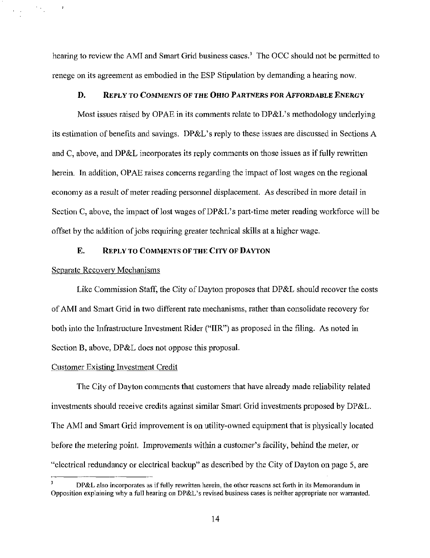hearing to review the AMI and Smart Grid business cases.<sup>3</sup> The OCC should not be permitted to renege on its agreement as embodied in the ESP Stipulation by demanding a hearing now.

### D. REPLY TO COMMENTS OF THE OHIO PARTNERS FOR AFFORDABLE ENERGY

Most issues raised by OPAE in its comments relate to DP&L's methodology underlying its estimation of benefits and savings. DP&L's reply to these issues are discussed in Sections A and C, above, and DP&L incorporates its reply comments on those issues as if fully rewritten herein. In addition, OPAE raises concerns regarding the impact of lost wages on the regional economy as a result of meter reading personnel displacement. As described in more detail in Section C, above, the impact of lost wages of DP&L's part-time meter reading workforce will be offset by the addition of jobs requiring greater technical skills at a higher wage.

### E. REPLY TO COMMENTS OF THE CITY OF DAYTON

#### Separate Recovery Mechanisms

 $\mathcal{F}_{\mathcal{A},\mathcal{C}}$ 

 $\mathbf{C}=\mathbf{R}^{\top}$ 

 $\boldsymbol{\ell}$ 

Like Commission Staff, the City of Dayton proposes that DP&L should recover the costs of AMI and Smart Grid in two different rate mechanisms, rather than consolidate recovery for both into the Infrastructure Investment Rider ("IIR") as proposed in the filing. As noted in Section B, above, DP&L does not oppose this proposal.

#### Customer Existing Investment Credit

The City of Dayton comments that customers that have already made reliability related investments should receive credits against similar Smart Grid investments proposed by DP&L. The AMI and Smart Grid improvement is on utility-owned equipment that is physically located before the metering point. Improvements within a customer's facility, behind the meter, or "electrical redundancy or electrical backup" as described by the City of Dayton on page 5, are

DP&L also incorporates as if fully rewritten herein, the other reasons set forth in its Memorandum in Opposition explaining why a full hearing on DP&L's revised business cases is neither appropriate nor warranted.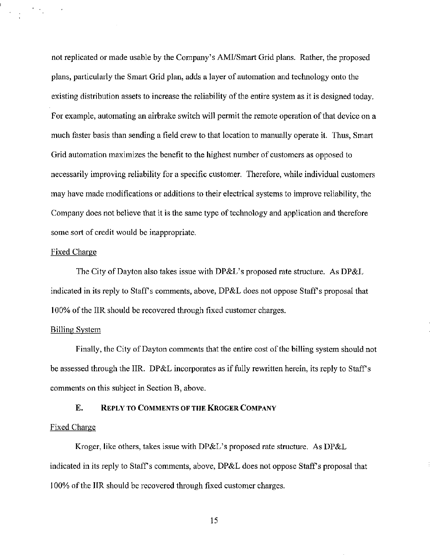not replicated or made usable by the Company's AMI/Smart Grid plans. Rather, the proposed plans, particularly the Smart Grid plan, adds a layer of automation and technology onto the existing distribution assets to increase the reliability of the entire system as it is designed today. For example, automating an airbrake switch will permit the remote operation of that device on a much faster basis than sending a field crew to that location to manually operate it. Thus, Smart Grid automation maximizes the benefit to the highest number of customers as opposed to necessarily improving reliability for a specific customer. Therefore, while individual customers may have made modifications or additions to their electrical systems to improve reliability, the Company does not believe that it is the same type of technology and application and therefore some sort of credit would be inappropriate.

## Fixed Charge

 $\mathcal{F}(\mathcal{F})$ 

The City of Dayton also takes issue with DP&L's proposed rate structure. As DP&L indicated in its reply to Staff's comments, above, DP&L does not oppose Staff's proposal that 100% of the IIR should be recovered through fixed customer charges.

### Billing System

Finally, the City of Dayton comments that the entire cost of the billing system should not be assessed through the IIR. DP&L incorporates as if fully rewritten herein, its reply to Staff's comments on this subject in Section B, above.

# E. REPLY TO COMMENTS OF THE KROGER COMPANY

# Fixed Charge

Kroger, like others, takes issue with DP&L's proposed rate structure. As DP&L indicated in its reply to Staff's comments, above, DP&L does not oppose Staff's proposal that 100% of the IIR should be recovered through fixed customer charges.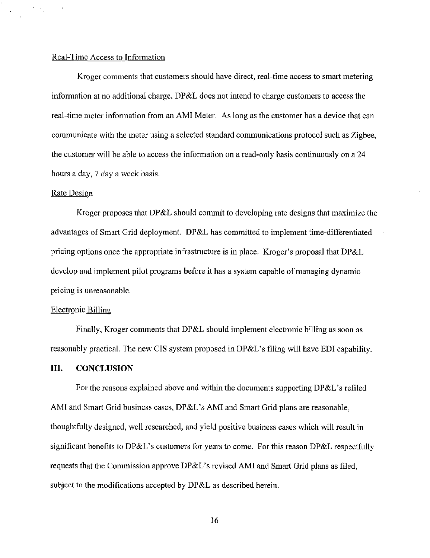### Real-Time Access to Information

Kroger comments that customers should have direct, real-time access to smart metering information at no additional charge. DP&L does not intend to charge customers to access the real-time meter information from an AMI Meter. As long as the customer has a device that can communicate with the meter using a selected standard communicafions protocol such as Zigbee, the customer will be able to access the information on a read-only basis continuously on a 24 hours a day, 7 day a week basis.

#### Rate Design

 $\cdot$ 

 $\frac{1}{\sqrt{2}}$ 

Kroger proposes that DP&L should commit to developing rate designs that maximize the advantages of Smart Grid deployment. DP&L has committed to implement time-differentiated pricing options once the appropriate infrastructure is in place. Kroger's proposal that DP&L develop and implement pilot programs before it has a system capable of managing dynamic pricing is unreasonable.

### Electronic Billing

Finally, Kroger comments that DP&L should implement electronic billing as soon as reasonably practical. The new CIS system proposed in DP&L's filing will have EDI capability.

## IIL CONCLUSION

For the reasons explained above and within the documents supporting DP&L's refiled AMI and Smart Grid business cases, DP&L's AMI and Smart Grid plans are reasonable, thoughtfully designed, well researched, and yield positive business cases which will result in significant benefits to DP&L's customers for years to come. For this reason DP&L respectfully requests that the Commission approve DP&L's revised AMI and Smart Grid plans as filed, subject to the modifications accepted by DP&L as described herein.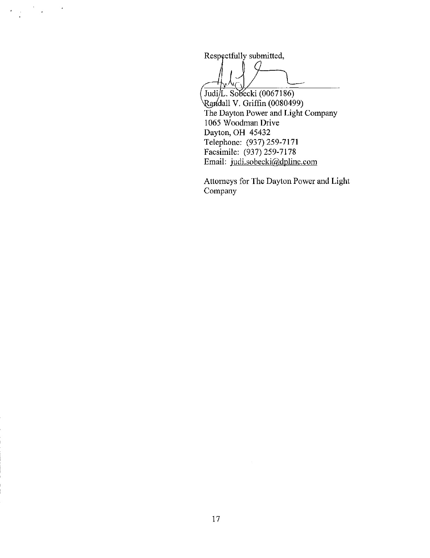Respectfully submitted,

 $\bar{z}$ 

 $\frac{1}{\sqrt{2}}$ 

 $\mathcal{A}^{\mathcal{A}}$ 

Judi/L. Sobecki (0067186) /dall V. Griffin (0080499) The Dayton Power and Light Company 1065 Woodman Drive Dayton, OH 45432 Telephone: (937)259-7171 Facsimile: (937)259-7178 Email: [judi.sobecki@dplinc.com](mailto:judi.sobecki@dplinc.com)

Attorneys for The Dayton Power and Light Company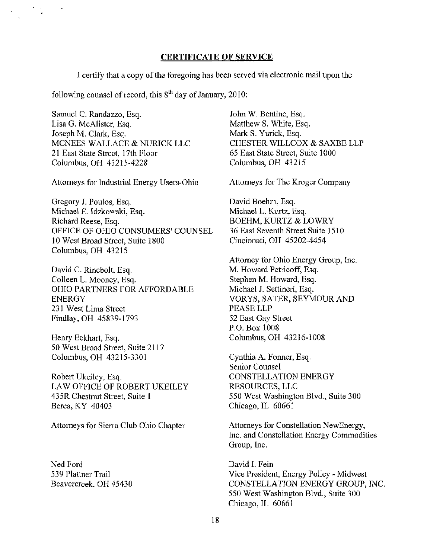#### CERTIFICATE OF SERVICE

I certify that a copy of the foregoing has been served via electronic mail upon the

following counsel of record, this  $8^{th}$  day of January, 2010:

Samuel C. Randazzo, Esq. Lisa G. McAlister, Esq. Joseph M. Clark, Esq. MCNEES WALLACE & NURICK LLC 21 East State Street, 17th Floor Columbus, OH 43215-4228

Attorneys for Industrial Energy Users-Ohio

Gregory J. Poulos, Esq. Michael E. Idzkowski, Esq. Richard Reese, Esq. OFFICE OF OHIO CONSUMERS' COUNSEL 10 West Broad Street, Suite 1800 Columbus, OH 43215

David C. Rinebolt, Esq. Colleen L. Mooney, Esq. OHIO PARTNERS FOR AFFORDABLE ENERGY 231 West Lima Street Findlay,OH 45839-1793

Henry Eckhart, Esq. 50 West Broad Street, Suite 2117 Columbus, OH 43215-3301

Robert Ukeiley, Esq. LAW OFFICE OF ROBERT UKEILEY 435R Chestnut Street, Suite 1 Berea, KY 40403

Attorneys for Sierra Club Ohio Chapter

Ned Ford 539 Plattner Trail Beavercreek, OH 45430 John W. Bentine, Esq. Matthew S. White, Esq. Mark S. Yurick, Esq. CHESTER WILLCOX & SAXBE LLP 65 East State Street, Suite 1000 Columbus, OH 43215

Attorneys for The Kroger Company

David Boehm, Esq. Michael L. Kurtz, Esq. BOEHM, KURTZ & LOWRY 36 East Seventh Street Suite 1510 Cincinnati, OH 45202-4454

Attorney for Ohio Energy Group, Inc. M. Howard Petricoff, Esq. Stephen M. Howard, Esq. Michael J. Settineri, Esq. VORYS, SATER, SEYMOUR AND PEASE LLP 52 East Gay Street P.O. Box 1008 Columbus, OH 43216-1008

Cynthia A. Former, Esq. Senior Counsel CONSTELLATION ENERGY RESOURCES, LLC 550 West Washington Blvd., Suite 300 Chicago, IL 60661

Attorneys for Constellation NewEnergy, Inc. and Constellation Energy Commodities Group, Inc.

David I. Fein Vice President, Energy Policy - Midwest CONSTELLATION ENERGY GROUP, INC. 550 West Washington Blvd., Suite 300 Chicago, IL 60661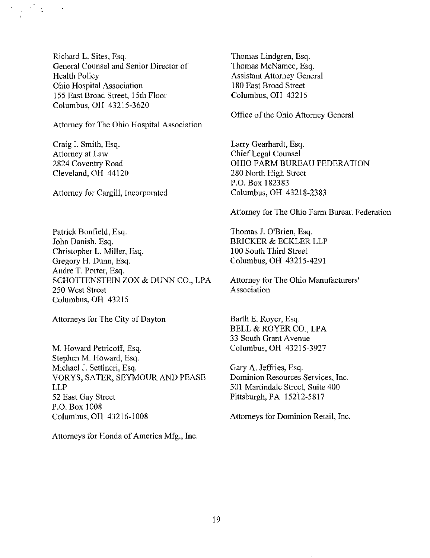Richard L. Sites, Esq. General Counsel and Senior Director of Health Policy Ohio Hospital Association 155 East Broad Street, 15th Floor Columbus, OH 43215-3620

Attorney for The Ohio Hospital Association

Craig I. Smith, Esq. Attorney at Law 2824 Coventry Road Cleveland, OH 44120

Attorney for Cargill, Incorporated

Patrick Bonfield, Esq. John Danish, Esq. Christopher L. Miller, Esq. Gregory H. Dunn, Esq. Andre T. Porter, Esq. SCHOTTENSTEIN ZOX & DUNN CO., LPA 250 West Street Columbus, OH 43215

Attorneys for The City of Dayton

M. Howard Petricoff, Esq. Stephen M. Howard, Esq. Michael J. Settineri, Esq. VORYS, SATER, SEYMOUR AND PEASE LLP 52 East Gay Street P.O.Box 1008 Columbus, OH 43216-1008

Attorneys for Honda of America Mfg., Inc.

Thomas Lindgren, Esq. Thomas McNamee, Esq. Assistant Attorney General 180 East Broad Street Columbus, OH 43215

Office of the Ohio Attorney General

Larry Gearhardt, Esq. Chief Legal Counsel OHIO FARM BUREAU FEDERATION 280 North High Street P.O. Box 182383 Columbus, OH 43218-2383

Attorney for The Ohio Farm Bureau Federation

Thomas J. O'Brien, Esq. BRICKER & ECKLER LLP 100 South Third Street Columbus, OH 43215-4291

Attorney for The Ohio Manufacturers' Association

Barth E. Royer, Esq. BELL & ROYER CO., LPA 33 South Grant Avenue Columbus, OH 43215-3927

Gary A. Jeffries, Esq. Dominion Resources Services, Inc. 501 Martindale Street, Suite 400 Pittsburgh, PA 15212-5817

Attorneys for Dominion Retail, Inc.